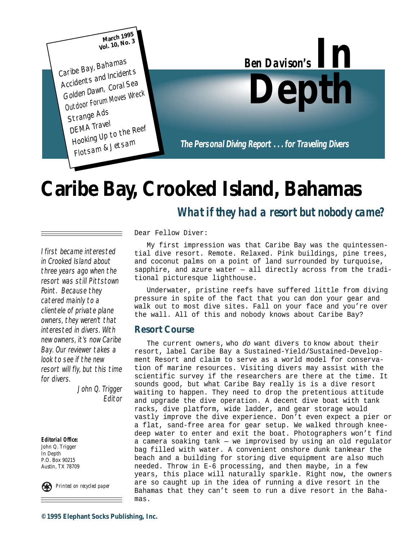

# **Caribe Bay, Crooked Island, Bahamas**

### *What if they had a resort but nobody came?*

I first became interested in Crooked Island about three years ago when the resort was still Pittstown Point. Because they catered mainly to a clientele of private plane owners, they weren't that interested in divers. With new owners, it's now Caribe Bay. Our reviewer takes a look to see if the new resort will fly, but this time for divers.

> John Q. Trigger Editor

*Editorial Office:* John Q. Trigger In Depth P.O. Box 90215 Austin, TX 78709

*Printed on recycled paper*

Dear Fellow Diver:

My first impression was that Caribe Bay was the quintessential dive resort. Remote. Relaxed. Pink buildings, pine trees, and coconut palms on a point of land surrounded by turquoise, sapphire, and azure water — all directly across from the traditional picturesque lighthouse.

Underwater, pristine reefs have suffered little from diving pressure in spite of the fact that you can don your gear and walk out to most dive sites. Fall on your face and you're over the wall. All of this and nobody knows about Caribe Bay?

#### **Resort Course**

The current owners, who do want divers to know about their resort, label Caribe Bay a Sustained-Yield/Sustained-Development Resort and claim to serve as a world model for conservation of marine resources. Visiting divers may assist with the scientific survey if the researchers are there at the time. It sounds good, but what Caribe Bay really is is a dive resort waiting to happen. They need to drop the pretentious attitude and upgrade the dive operation. A decent dive boat with tank racks, dive platform, wide ladder, and gear storage would vastly improve the dive experience. Don't even expect a pier or a flat, sand-free area for gear setup. We walked through kneedeep water to enter and exit the boat. Photographers won't find a camera soaking tank — we improvised by using an old regulator bag filled with water. A convenient onshore dunk tanknear the beach and a building for storing dive equipment are also much needed. Throw in E-6 processing, and then maybe, in a few years, this place will naturally sparkle. Right now, the owners are so caught up in the idea of running a dive resort in the Bahamas that they can't seem to run a dive resort in the Bahamas.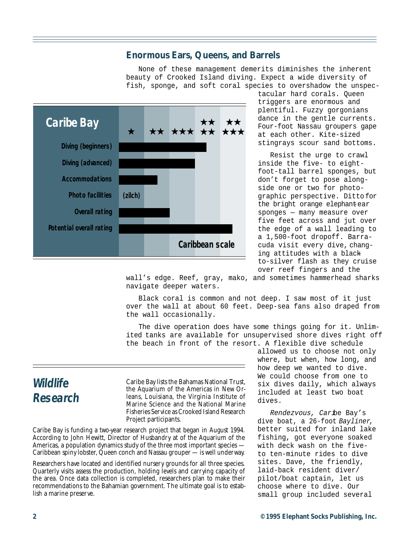#### **Enormous Ears, Queens, and Barrels**

None of these management demerits diminishes the inherent beauty of Crooked Island diving. Expect a wide diversity of fish, sponge, and soft coral species to overshadow the unspec-



tacular hard corals. Queen triggers are enormous and plentiful. Fuzzy gorgonians dance in the gentle currents. Four-foot Nassau groupers gape at each other. Kite-sized stingrays scour sand bottoms.

Resist the urge to crawl inside the five- to eightfoot-tall barrel sponges, but don't forget to pose alongside one or two for photographic perspective. Ditto for the bright orange elephantear sponges — many measure over five feet across and jut over the edge of a wall leading to a 1,500-foot dropoff. Barracuda visit every dive, changing attitudes with a blackto-silver flash as they cruise over reef fingers and the

wall's edge. Reef, gray, mako, and sometimes hammerhead sharks navigate deeper waters.

Black coral is common and not deep. I saw most of it just over the wall at about 60 feet. Deep-sea fans also draped from the wall occasionally.

The dive operation does have some things going for it. Unlimited tanks are available for unsupervised shore dives right off the beach in front of the resort. A flexible dive schedule

### **Wildlife Research**

Caribe Bay lists the Bahamas National Trust, the Aquarium of the Americas in New Orleans, Louisiana, the Virginia Institute of Marine Science and the National Marine Fisheries Service as Crooked Island Research Project participants.

Caribe Bay is funding a two-year research project that began in August 1994. According to John Hewitt, Director of Husbandry at of the Aquarium of the Americas, a population dynamics study of the three most important species — Caribbean spiny lobster, Queen conch and Nassau grouper — is well underway.

Researchers have located and identified nursery grounds for all three species. Quarterly visits assess the production, holding levels and carrying capacity of the area. Once data collection is completed, researchers plan to make their recommendations to the Bahamian government. The ultimate goal is to establish a marine preserve.

allowed us to choose not only where, but when, how long, and how deep we wanted to dive. We could choose from one to six dives daily, which always included at least two boat dives.

Rendezvous, Caribe Bay's dive boat, a 26-foot Bayliner, better suited for inland lake fishing, got everyone soaked with deck wash on the fiveto ten-minute rides to dive sites. Dave, the friendly, laid-back resident diver/ pilot/boat captain, let us choose where to dive. Our small group included several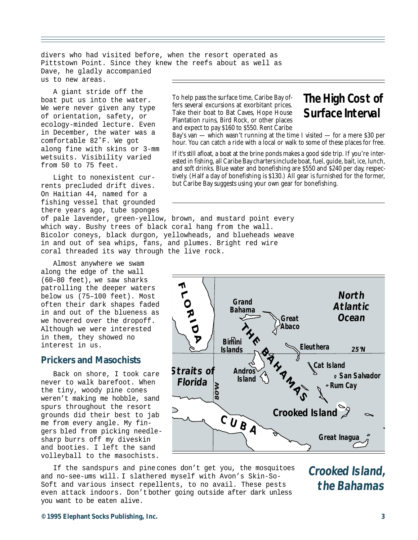divers who had visited before, when the resort operated as Pittstown Point. Since they knew the reefs about as well as Dave, he gladly accompanied us to new areas.

A giant stride off the boat put us into the water. We were never given any type of orientation, safety, or ecology-minded lecture. Even in December, the water was a comfortable 82˚F. We got along fine with skins or 3-mm wetsuits. Visibility varied from 50 to 75 feet.

Light to nonexistent currents precluded drift dives. On Haitian 44, named for a fishing vessel that grounded there years ago, tube sponges of pale lavender, green-yellow, brown, and mustard point every

which way. Bushy trees of black coral hang from the wall. Bicolor coneys, black durgon, yellowheads, and blueheads weave in and out of sea whips, fans, and plumes. Bright red wire coral threaded its way through the live rock.

Almost anywhere we swam along the edge of the wall (60–80 feet), we saw sharks patrolling the deeper waters below us (75–100 feet). Most often their dark shapes faded in and out of the blueness as we hovered over the dropoff. Although we were interested in them, they showed no interest in us.

#### **Prickers and Masochists**

Back on shore, I took care never to walk barefoot. When the tiny, woody pine cones weren't making me hobble, sand spurs throughout the resort grounds did their best to jab me from every angle. My fingers bled from picking needlesharp burrs off my diveskin and booties. I left the sand volleyball to the masochists.

To help pass the surface time, Caribe Bay offers several excursions at exorbitant prices. Take their boat to Bat Caves, Hope House Plantation ruins, Bird Rock, or other places and expect to pay \$160 to \$550. Rent Caribe

## **The High Cost of Surface Interval**

Bay's van — which wasn't running at the time I visited — for a mere \$30 per hour. You can catch a ride with a local or walk to some of these places for free.

If it's still afloat, a boat at the brine ponds makes a good side trip. If you're interested in fishing, all Caribe Bay charters include boat, fuel, guide, bait, ice, lunch, and soft drinks. Blue water and bonefishing are \$550 and \$240 per day, respectively. (Half a day of bonefishing is \$130.) All gear is furnished for the former, but Caribe Bay suggests using your own gear for bonefishing.



If the sandspurs and pine cones don't get you, the mosquitoes and no-see-ums will. I slathered myself with Avon's Skin-So-Soft and various insect repellents, to no avail. These pests even attack indoors. Don't bother going outside after dark unless you want to be eaten alive.

**Crooked Island, the Bahamas**

#### **©1995 Elephant Socks Publishing, Inc. 3**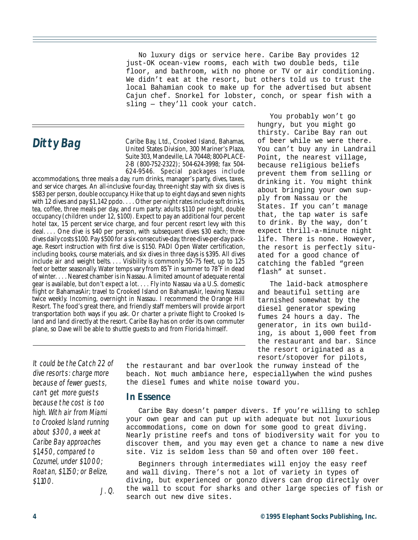No luxury digs or service here. Caribe Bay provides 12 just-OK ocean-view rooms, each with two double beds, tile floor, and bathroom, with no phone or TV or air conditioning. We didn't eat at the resort, but others told us to trust the local Bahamian cook to make up for the advertised but absent Cajun chef. Snorkel for lobster, conch, or spear fish with a sling — they'll cook your catch.

Ditty Bag<br>
United States Division 300 Marinor's Plaza United States Division, 300 Mariner's Plaza, Suite 303, Mandeville, LA 70448; 800-PLACE-2-B (800-752-2322); 504-624-3998; fax 504- 624-9546. Special packages include

accommodations, three meals a day, rum drinks, manager's party, dives, taxes, and service charges. An all-inclusive four-day, three-night stay with six dives is \$583 per person, double occupancy. Hike that up to eight days and seven nights with 12 dives and pay \$1,142 ppdo. . . . Other per-night rates include soft drinks, tea, coffee, three meals per day, and rum party: adults \$110 per night, double occupancy (children under 12, \$100). Expect to pay an additional four percent hotel tax, 15 percent service charge, and four percent resort levy with this deal.... One dive is \$40 per person, with subsequent dives \$30 each; three dives daily costs \$100. Pay \$500 for a six-consecutive-day, three-dive-per-day package. Resort instruction with first dive is \$150. PADI Open Water certification, including books, course materials, and six dives in three days is \$395. All dives include air and weight belts. . . . Visibility is commonly 50-75 feet, up to 125 feet or better seasonally. Water temps vary from 85˚F in summer to 78˚F in dead of winter. . . . Nearest chamber is in Nassau. A limited amount of adequate rental gear is available, but don't expect a lot. . . . Fly into Nassau via a U.S. domestic flight or BahamasAir; travel to Crooked Island on BahamasAir, leaving Nassau twice weekly. Incoming, overnight in Nassau. I recommend the Orange Hill Resort. The food's great there, and friendly staff members will provide airport transportation both ways if you ask. Or charter a private flight to Crooked Island and land directly at the resort. Caribe Bay has on order its own commuter plane, so Dave will be able to shuttle guests to and from Florida himself.

You probably won't go hungry, but you might go thirsty. Caribe Bay ran out of beer while we were there. You can't buy any in Landrail Point, the nearest village, because religious beliefs prevent them from selling or drinking it. You might think about bringing your own supply from Nassau or the States. If you can't manage that, the tap water is safe to drink. By the way, don't expect thrill-a-minute night life. There is none. However, the resort is perfectly situated for a good chance of catching the fabled "green flash" at sunset.

The laid-back atmosphere and beautiful setting are tarnished somewhat by the diesel generator spewing fumes 24 hours a day. The generator, in its own building, is about 1,000 feet from the restaurant and bar. Since the resort originated as a resort/stopover for pilots,

It could be the Catch 22 of dive resorts: charge more because of fewer guests, can't get more guests because the cost is too high. With air from Miami to Crooked Island running about \$300, a week at Caribe Bay approaches \$1,450, compared to Cozumel, under \$1,000; Roatan, \$1,150; or Belize, \$1,100.

J. Q.

the restaurant and bar overlook the runway instead of the beach. Not much ambiance here, especially when the wind pushes the diesel fumes and white noise toward you.

#### **In Essence**

Caribe Bay doesn't pamper divers. If you're willing to schlep your own gear and can put up with adequate but not luxurious accommodations, come on down for some good to great diving. Nearly pristine reefs and tons of biodiversity wait for you to discover them, and you may even get a chance to name a new dive site. Viz is seldom less than 50 and often over 100 feet.

Beginners through intermediates will enjoy the easy reef and wall diving. There's not a lot of variety in types of diving, but experienced or gonzo divers can drop directly over the wall to scout for sharks and other large species of fish or search out new dive sites.